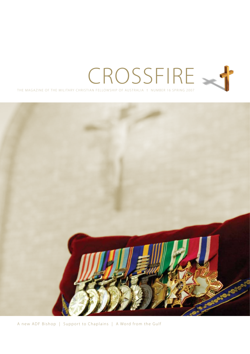



A new ADF Bishop | Support to Chaplains | A Word from the Gulf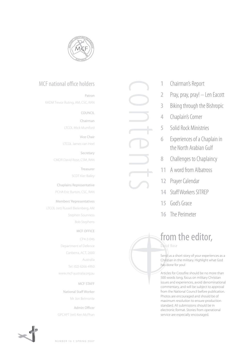

## MCF national office holders

Patron

RADM Trevor Ruting, AM, CSC, RAN

COUNCIL

Chairman

LTCOL Mick Mumford

Vice Chair LTCOL James van Heel

Secretary CMDR David Rose, CSM, RAN

Treasurer

SCDT Kier Bailey

Chaplains Representative

PCHA Eric Burton, CSC, RAN

#### Members' Representatives

LTCOL (ret) Russell Bielenberg, AM Stephen Sounness Bob Stephens

#### MCF OFFICE

CP4-3-046 Department of Defence Canberra, ACT, 2600 Australia Tel: (02) 6266 4950 www.mcf-australia.org.au

#### MCF STAFF

National Staff Worker Mr Jon Belmonte

Admin Officer GPCAPT (ret) Ken McPhan



- **1** Chairman's Report
- **2** Pray, pray, pray! Len Eacott
- **3** Biking through the Bishropic
- **4** Chaplain's Corner

contents

- **5** Solid Rock Ministries
- **6** Experiences of a Chaplain in the North Arabian Gulf
- **8** Challenges to Chaplaincy
- **11** A word from Albatross
- **12** Prayer Calendar
- **14** Staff Workers SITREP
- **15** God's Grace
- **16** The Perimeter

# from the editor,

David Rose

Send us a short story of your experiences as a Christian in the military. Highlight what God has done for you!

Articles for Crossfire should be no more than 500 words long, focus on military Christian issues and experiences, avoid denominational commentary, and will be subject to approval from the National Council before publication. Photos are encouraged and should be of maximum resolution to ensure production standard. All submissions should be in electronic format. Stories from operational service are especially encouraged.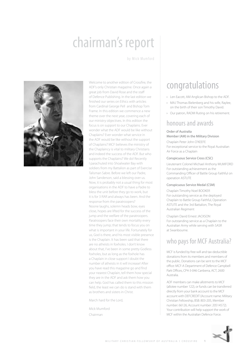# chairman's report

by Mick Mumford



Welcome to another edition of Crossfire, the ADF's only Christian magazine. Once again a great job from David Rose and the staff of Defence Publishing. In the last edition we finished our series on Ethics with articles from Cardinal George Pell and Bishop Tom Frame. In this edition we commence a new theme over the next year, covering each of our ministry objectives. In this edition the focus is on support to our Chaplains. Ever wonder what the ADF would be like without Chaplains? Ever wonder what service in the ADF would be like without the support of Chaplains? MCF believes the ministry of the Chaplaincy is vital to military Christians and indeed the success of the ADF. But who supports the Chaplains? We do! Recently I parachuted into Shoalwater Bay with soldiers from my Battalion as part of Exercise Talisman Sabre. Before we left our Padre, John Sanderson, said a blessing over us. Now, it is probably not a usual thing for most organisations in the ADF to have a Padre to bless the unit before they go to work, but it is for 3 RAR and always has been. And the response from the paratroopers? Noone laughs, solemn heads bow, eyes close, hopes are lifted for the success of the jump and the welfare of the paratroopers. Paratroopers face their own mortality every time they jump; that tends to focus you on what is important in your life. Fortunately for us, God is there, and his most visible presence is the Chaplain. It has been said that there are no atheists in foxholes. I don't know about that, I've been in some pretty Godless foxholes, but as long as the foxhole has a Chaplain in close support I doubt the number of atheists in it will increase! After you have read this magazine go and find your nearest Chaplain, tell them how special they are in the ADF and ask them how you can help. God has called them to this mission field, the least we can do is stand with them as brothers and sisters in Christ.

March hard for the Lord,

Mick Mumford Chairman

# congratulations

- › Len Eacott, AM Anglican Bishop to the ADF.
- › MAJ Thomas Bielenberg and his wife, Raylee, on the birth of their son Timothy David.
- › Our patron, RADM Ruting on his retirement.

## honours and awards

#### Order of Australia Member (AM) in the Military Division

Chaplain Peter John O'KEEFE For exceptional service to the Royal Australian Air Force as a Chaplain

#### Conspicuous Service Cross (CSC)

Lieutenant Colonel Michael Anthony MUMFORD For outstanding achievement as the Commanding Officer of Battle Group Faithful on operation ASTUTE

#### Conspicuous Service Medal (CSM)

Chaplain Timothy Noel BOOKER For outstanding service as the deployed Chaplain to Battle Group Faithful, Operation ASTUTE and the 3rd Battalion, The Royal Australian Regiment

Chaplain David Ernest JACKSON For outstanding service as a Chaplain to the Australian Army while serving with SASR at Swanbourne.

# who pays for MCF Australia?

MCF is funded by free-will and tax-deductible donations from its members and members of the public. Donations can be sent to the MCF office: MCF-A Department of Defence Campbell Park Offices, CP4-3-046 Canberra, ACT, 2600 Australia.

ADF members can make allotments to MCF (allotee number 122), or funds can be transferred directly from your bank account to the MCF account with DEFCREDIT (Account name: Military Christian Fellowship, BSB: 803-205, Member number: 66126, Account number: 20514572). Your contribution will help support the work of MCF within the Australian Defence Force.

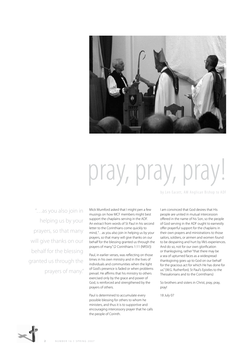

# pray, pray, pray!

by Len Eacott, AM Anglican Bishop to ADF

"…as you also join in helping us by your prayers, so that many will give thanks on our behalf for the blessing granted us through the prayers of many."

Mick Mumford asked that I might pen a few musings on how MCF members might best support the chaplains serving in the ADF. An extract from words of St Paul in his second letter to the Corinthians come quickly to mind, "…as you also join in helping us by your prayers, so that many will give thanks on our behalf for the blessing granted us through the prayers of many." (2 Corinthians 1:11 (NRSV))

Paul, in earlier verses, was reflecting on those times in his own ministry and in the lives of individuals and communities when the light of God's presence is faded or when problems prevail. He affirms that his ministry to others exercised only by the grace and power of God, is reinforced and strengthened by the prayers of others.

Paul is determined to accumulate every possible blessing for others to whom he ministers, and thus it is to supportive and encouraging intercessory prayer that he calls the people of Corinth.

I am convinced that God desires that His people are united in mutual intercession offered in the name of his Son, so the people of God serving in the ADF ought to earnestly offer prayerful support for the chaplains in their own prayers and ministrations to those sailors, soldiers, or airmen and women found to be despairing and hurt by life's experiences. And do so, not for our own glorification or thanksgiving, rather "that there may be a sea of upturned faces as a widespread thanksgiving goes up to God on our behalf for the gracious act for which He has done for us." (W.G. Rutherford, St Paul's Epistles to the Thessalonians and to the Corinthians)

So brothers and sisters in Christ, pray, pray, pray!

18 July 07

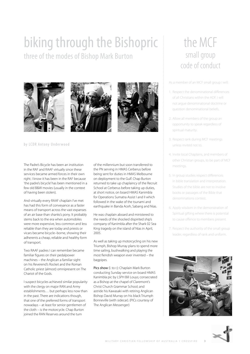# biking through the Bishopric three of the modes of Bishop Mark Burton







by LCDR Antony Underwood

The Padre's Bicycle has been an institution in the RAF and RAAF virtually since these services became armed forces in their own right. I know it has been in the RAF because 'the padre's bicycle' has been mentioned in a few old B&W movies (usually in the context of having been stolen).

And virtually every RAAF chaplain I've met has had this form of conveyance as a faster means of transport across the vast expanses of an air base than shanks's pony. It probably stems back to the era when automobiles were more expensive, less common and less reliable than they are today and priests or vicars became bicycle–borne, showing their adherents a cheap, reliable and healthy form of transport.

Two RAAF padres I can remember became familiar figures on their pedalpower machines – the Anglican a familiar sight on his Reverend's Rocket and the Roman Catholic priest (almost) omnipresent on The Chariot of the Gods.

I suspect bicycles achieved similar popularity with the clergy on major RAN and Army establishments… but perhaps less now than in the past. There are indications though, that one of the preferred forms of transport nowadays – at least for senior gentlemen of the cloth – is the motorcycle. Chap Burton joined the RAN Reserves around the turn

of the millennium but soon transferred to the PN serving in HMAS Cerberus before being sent for duties in HMAS Melbourne on deployment to the Gulf. Chap Burton returned to take up chaplaincy of the Recruit School at Cerberus before taking up duties, at short notice, on board HMAS Kanimbla for Operations Sumatra Assist I and II which followed in the wake of the tsunami and earthquake in Banda Aceh, Sabang and Nias.

He was chaplain aboard and ministered to the needs of the shocked dispirited ship's company of Kanimbla after the Shark 02 Sea King tragedy on the island of Nias in April, 2005.

As well as taking up motorcycling on his new Triumph, Bishop Murray plans to spend more time sailing, bushwalking and playing the most fiendish weapon ever invented – the bagpipes.

Pics show (I. to r.): Chaplain Mark Burton conducting Sunday service on board HMAS Kanimbla pic by LSPH Bill Louys; consecrated as a Bishop at the chapel of Claremont's Christ Church Grammar School; and astride his Kawasaki with retiring Anglican Bishop David Murray on his black Triumph Bonneville (with sidecar). (PICs courtesy of The Anglican Messenger)

# the MCF small group code of conduct

As a member of an MCF small group I will:

- 1. Respect the denominational differences of all Christians within the ADF. I will not argue denominational doctrine or question denominational beliefs.
- 2. Allow all members of the group an opportunity to speak regardless of spiritual maturity.
- 3. Respect rank during MCF meetings unless invited not to.
- 4. Invite local Chaplains, and members of other Christian groups, to be part of MCF meetings.
- 5. In group studies respect differences in bible translation and interpretation. Studies of the bible are not to involve books or passages of the Bible that denominations contest.
- 6. Apply wisdom in the demonstration of Spiritual gifting where there is potential to cause offence to members present.
- 7. Respect the authority of the small group leader, regardless of rank and uniform.



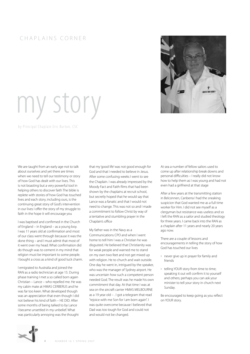### CHAPLAINS CORNER



# my story

by Principal Chaplain Eric Burton, CSC

We are taught from an early age not to talk about ourselves and yet there are times when we need to tell our testimony or story of how God has dealt with our lives. This is not boasting but a very powerful tool in helping others to discover faith The bible is replete with stories of how God has touched lives and each story, including ours, is the continuing great story of God's intervention in our lives I offer the story of my struggle to faith in the hope it will encourage you

I was baptised and confirmed in the Church of England – in England – as a young boy. I was 11 years old at confirmation and most of our class went through because it was the done thing – and I must admit that most of it went over my head. What confirmation did do though was to cement in my mind that religion must be important to some people. I bought a cross as a kind of good luck charm.

I emigrated to Australia and joined the RAN as a radio technician at age 15. During phase training I met a so called born again Christian – Lance – who repelled me. He was my cabin mate at HMAS CERBERUS and he was far too keen. What developed though was an appreciation that even though I did not believe his kind of faith – HE DID. After some months of being talked to by Lance I became unsettled in my unbelief. What was particularly annoying was the thought

that my 'good life' was not good enough for God and that I needed to believe in Jesus. After some confusing weeks I went to see the Chaplain. I was already impressed by the Moody Fact and Faith films that had been shown by the chaplains at recruit school, but secretly hoped that he would say that Lance was a fanatic and that I would not need to change. This was not so and I made a commitment to follow Christ by way of a tentative and stumbling prayer in the Chaplain's office

My father was in the Navy as a Communications CPO and when I went home to tell him I was a Christian he was disgusted. He believed that Christianity was for weak people and warned me to stand on my own two feet and not get mixed up with religion. He to church and wait outside. One day he went in, intrigued by the speaker, who was the manager of Sydney airport. He was uncertain how such a competent person needed God. The result was he made his own commitment that day. At that time I was at sea on the aircraft carrier HMAS MELBOURNE as a 19 year old – . I got a telegram that read "rejoice with me Son for I am born again". I was quite overcome because I believed that Dad was too tough for God and could not and would not be changed.

At sea a number of fellow sailors used to come up after relationship break downs and personal difficulties – I really did not know how to help them as I was young and had not even had a girlfriend at that stage

After a few years at the transmitting station in Belconnen, Canberra I had the sneaking suspicion that God wanted me as a full time worker for Him. I did not see myself as a clergyman but resistance was useless and so I left the RAN as a sailor and studied theology for three years. I came back into the RAN as a chaplain after 11 years and nearly 20 years ago now.

There are a couple of lessons and encouragements in telling the story of how God has touched our lives

- › never give up in prayer for family and friends
- › telling YOUR story from time to time; speaking it out will confirm it to yourself and others; perhaps you can ask your minister to tell your story in church next Sunday.

Be encouraged to keep going as you reflect on YOUR story.

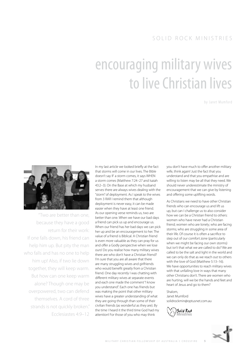# encouraging military wives to live Christian lives

by Janet Mumford



"Two are better than one, because they have a good return for their work: If one falls down, his friend can help him up. But pity the man who falls and has no one to help him up! Also, if two lie down together, they will keep warm. But how can one keep warm alone? Though one may be overpowered, two can defend themselves. A cord of three strands is not quickly broken."

In my last article we looked briefly at the fact that storms will come in our lives. The Bible doesn't say IF a storm comes, it says WHEN a storm comes (Matthew 7:24–27 and Isaiah 43:2–3). On the Base at which my husband serves there are always wives dealing with the "storm" of deployment. As I speak to the wives from 3 RAR I remind them that although deployment is never easy, it can be made easier when they have at least one friend. As our opening verse reminds us, two are better than one. When we have our bad days a friend can pick us up and encourage us. When our friend has her bad days we can pick her up and be an encouragement to her. The value of a friend is Biblical. A Christian friend is even more valuable as they can pray for us and offer a Godly perspective when we lose ours! Do you realise how many military wives there are who don't have a Christian friend? I'm sure that you are all aware that there are many struggling wives and girlfriends who would benefit greatly from a Christian friend. One day recently I was chatting with different military wives at separate events and each one made the comment "I know you understand". Each one has friends but was making the point that other military wives have a greater understanding of what they are going through than some of their civilian friends (as wonderful as they are). By the time I heard it the third time God had my Ecclesiastes 4:9-12 attention! For those of you who may think **Exclusive Munistries** 

you don't have much to offer another military wife, think again! Just the fact that you understand and that you empathise and are willing to listen may be all that they need. We should never underestimate the ministry of encouragement that we can give by listening and offering some uplifting words.

As Christians we need to have other Christian friends who can encourage us and lift us up, but can I challenge us to also consider how we can be a Christian friend to others: women who have never had a Christian friend; women who are lonely; who are facing storms; who are struggling in some area of their life. Of course it is often a sacrifice to step out of our comfort zone (particularly when we might be facing our own storms) but isn't that what we are called to do? We are called to be the salt and light in the world and we can only do that as we reach out to others with the love of God (Matthew 5:13–16). We have opportunities to reach military wives with that unfailing love in ways that many other Christians don't. There are women who are hurting, will we be the hands and feet and heart of Jesus and go to them?

Shalom, Janet Mumford solidrockmin@optusnet.com.au



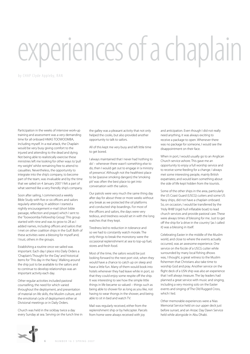# experiences of a chaplain

by CHAP Clyde Appleby, RAN

Participation in the weeks of intensive work-up training and assessment was a very demanding time for all onboard HMAS TOOWOOMBA, including myself. In a real attack, the Chaplain would be very busy giving comfort to the injured and attending to the dead and dying. Not being able to realistically exercise these ministries left me looking for other ways to 'pull my weight' whilst remaining free to attend to casualties. Nevertheless, the opportunity to integrate into the ship's company, to become part of the team, was invaluable and by the time that we sailed on 4 January 2007 I felt a part of what seemed like a very friendly ship's company.

Soon after sailing, I commenced a weekly Bible Study with five or six officers and sailors regularly attending. In addition I started a nightly encouragement e-mail (short bible passage, reflection and prayer) which I sent to the 'Toowoomba Fellowship Group'. This group started with nine and was to grow to 28 as I added names, including officers and sailors that I met on other coalition ships in the Gulf. Both of these activities were a blessing for myself and, I trust, others in the groups.

Establishing a routine once we sailed was important. Each day I place into Daily Orders a 'Chaplain's Thought for the Day' and historical items for 'This day in the Navy'. Walking around the ship just to be available to the sailors and to continue to develop relationships was an important activity each day.

Other regular activities included pastoral counselling, the need for which varied throughout the deployment, and presentation of material on life skills, the Muslim culture, and the emotional cycle of deployment either at Divisional meetings or in Daily Orders.

Church was held in the sickbay twice a day every Sunday at sea. Serving on the lunch line in the galley was a pleasant activity that not only helped the cooks, but also provided another opportunity to talk to sailors.

All of this kept me very busy and left little time to get bored.

I always maintained that I never had 'nothing to do' – whenever there wasn't something else to do, then I would get out to engage in 'a ministry of presence'. Although not the healthiest place to be (passive smoking dangers) the 'smoking pit' was often the best place to get into conversation with the sailors.

Our patrols were very much the same thing day after day for about three or more weeks without any break as we protected the oil platforms and conducted ship boardings. For most of the officers and sailors, the days were very tedious, and tiredness would set in with the long watches that they kept.

Tiredness led to reduction in tolerance and so we had to constantly watch morale. The only things to break the monotony were the occasional replenishment at sea to top-up fuel, stores and fresh food.

Most of the time, the sailors would be just looking forward to the next port visit, when they would have a chance to catch up on sleep and have a little fun. Many of them would book into hotels whenever they had leave while in port, so that they could enjoy some respite off the ship. It was interesting to see how the simple little things in life became so valued – things such as being able to shower for as long as you like, not having to wear thongs in the shower, and being able to sit in bed and watch TV.

Mail was regularly received, either from the replenishment ship or by helicopter. Parcels from home were always received with joy

and anticipation. Even though I did not really need anything, it was always exciting to receive a package to open. Whenever there was no package for someone, I would see the disappointment on their face.

When in port, I would usually go to an Anglican Church service ashore. This gave me an opportunity to enjoy a full worship service and to receive some feeding for a change. I always met some interesting people, mainly British expatriates; and would learn something about the side of life kept hidden from the tourists.

Some of the other ships in the area, particularly the US Coast Guard (USCG) cutters and some US Navy ships, did not have a chaplain onboard. So, on occasion, I would be transferred by the 'Holy RHIB' (rigid hull inflatable boat) to lead church services and provide pastoral care. These were always times of blessing for me. Just to get off the ship for 'a drive in the country' (as I called it) was a blessing in itself.

Celebrating Easter in the middle of the Muslim world, and close to where the events actually occurred, was an awesome experience. One service on the focsle of a USCG cutter while surrounded by many local fishing dhows was, I thought, a great witness to the Muslim fishermen that Christians also take time to worship God and pray. Another service on the flight deck of a USN ship was also an experience that I will always treasure. The lay leaders had planned a great service with music and singing, including a very moving solo on the Easter events and singing of The Old Rugged Cross, which I led.

Other memorable experiences were a Nias Memorial Service held on our upper deck just before sunset, and an Anzac Day Dawn Service held while alongside in Abu Dhabi.

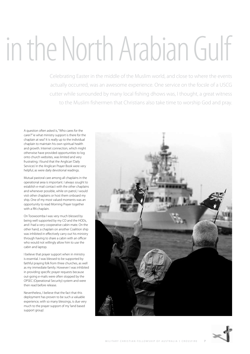# in the North Arabian Gulf

Celebrating Easter in the middle of the Muslim world, and close to where the events actually occurred, was an awesome experience. One service on the focsle of a USCG cutter while surrounded by many local fishing dhows was, I thought, a great witness to the Muslim fishermen that Christians also take time to worship God and pray.

A question often asked is, "Who cares for the carer?" ie what ministry support is there for the chaplain at sea? It is really up to the individual chaplain to maintain his own spiritual health and growth. Internet connection, which might otherwise have provided opportunities to log onto church websites, was limited and very frustrating. I found that the Anglican 'Daily Services' in the Anglican Prayer Book were very helpful, as were daily devotional readings.

Mutual pastoral care among all chaplains in the operational area is important. I always sought to establish e-mail contact with the other chaplains and whenever possible, while on patrol, I would visit other chaplains or host them onboard my ship. One of my most valued moments was an opportunity to read Morning Prayer together with a RN chaplain.

On Toowoomba I was very much blessed by being well supported by my CO and the HODs, and I had a very cooperative cabin mate. On the other hand, a chaplain on another Coalition ship was inhibited in effectively carry out his ministry through having to share a cabin with an officer who would not willingly allow him to use the cabin and laptop.

I believe that prayer support when in ministry is essential. I was blessed to be supported by faithful praying folk from three churches, as well as my immediate family. However I was inhibited in providing specific prayer requests because out-going e-mails were often stopped by the OPSEC (Operational Security) system and were then read before release.

Nevertheless, I believe that the fact that this deployment has proven to be such a valuable experience, with so many blessings, is due very much to the prayer support of my 'land based support group'.

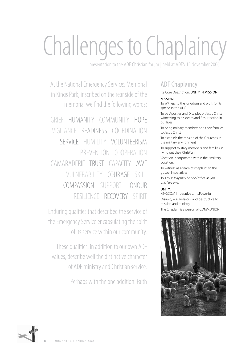# Challenges to Chaplaincy

presentation to the ADF Christian forum | held at ADFA 15 November 2006

At the National Emergency Services Memorial in Kings Park, inscribed on the rear side of the memorial we find the following words:

GRIEF HUMANITY COMMUNITY HOPE VIGILANCE READINESS COORDINATION SERVICE HUMILITY VOLUNTEERISM PREVENTION COOPERATION CAMARADERIE TRUST CAPACITY AWE VULNERABILITY COURAGE SKILL COMPASSION SUPPORT HONOUR RESILIENCE RECOVERY SPIRIT

Enduring qualities that described the service of the Emergency Service encapsulating the spirit of its service within our community.

These qualities, in addition to our own ADF values, describe well the distinctive character of ADF ministry and Christian service.

Perhaps with the one addition: Faith

# ADF Chaplaincy

## It's Core Description: UNITY IN MISSION

#### MISSION:

To Witness to the Kingdom and work for its spread in the ADF

To be Apostles and Disciples of Jesus Christ witnessing to his death and Resurrection in our lives

To bring military members and their families to Jesus Christ

To establish the mission of the Churches in the military environment

To support military members and families in living out their Christian

Vocation incorporated within their military vocation.

To witness as a team of chaplains to the gospel imperative:

Jn 17:21: *May they be one Father, as you and I are one.* 

#### UNITY:

KINGDOM imperative ……Powerful Disunity – scandalous and destructive to mission and ministry

The Chaplain is a person of COMMUNION



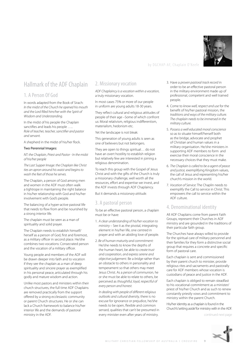

#### by DGCHAP-AF, Chaplain O'Keefe

## Hallmark of the ADF Chaplain

#### 1. A Person Of God

In words adapted from the Book of Sirach: *In the midst of the Church he opened his mouth and the Lord filled him/her with the Spirit of Wisdom and Understanding.* 

In the midst of his people the Chaplain sanctifies and leads his people ….. *Role of teacher, teacher, sanctifier and pastor and servant.*

A shepherd in the midst of his/her flock.

#### Two Perennial Images:

*NT: the Chaplain, Priest and Pastor - In the midst of his/her people*

*The Last Supper Image: the Chaplain like Christ ties an apron around his waist and begins to wash the feet of those he serves.*

The Chaplain, a person of God among men and women in the ADF must often walk a tightrope in maintaining the right balance in his/her relationship with God and his/her involvement with God's people.

The balancing of a hyper-active pastoral life that needs to flow from and be nourished by a strong interior life.

The chaplain must be seen as a man of spirituality and solid prayer.

The Chaplain needs to establish himself/ herself as a person of God, first and foremost, as a military officer in second place. He/she combines two vocations: Consecrated person and the vocation of a military officer.

Young people and members of the ADF will be drawn deeper into faith and to vocation if they see the chaplain as a man of deep spirituality and sincere prayer as exemplified in his personal peace, articulated through his godly and mature wisdom and action.

Unlike most pastors and ministers within their church structures, the full time ADF Chaplains are removed practically from the support offered by a strong ecclesiastic community or parent Church structures. He or she can lack a Church framework to balance his/her interior life and the demands of pastoral ministry in the ADF.

#### 2. Missionary vocation

*ADF Chaplaincy is a vocation within a vocation,* a truly missionary vocation.

In most cases 75% or more of our people in uniform are young adults 18-30 years.

They reflect cultural and religious attitudes of people of their age –Some of which confront us: Moral relativism, religious indifferentism, materialism, hedonism etc.

Yet the landscape is not bleak:

This generation of young adults is seen as one of believers but not belongers.

They are open to things spiritual… do not have an overt hostility to establish religion but relatively few are interested in joining a religious denomination.

To reach this group with the Gospel of Jesus Christ and with the gifts of the Church is truly a missionary challenge, well worth all the resources, effort and expertise we invest, and the ADF invests through ADF Chaplaincy.

But it demands a *missionary attitude.*

#### 3. A pastoral person

To be an effective pastoral person, a chaplain must be or have:

- 1. *A clear understanding of his/her vocation to ministry –* See it as the pivotal, integrating element in his/her life, one centred in prayer and with an abiding love of people.
- 2. *Be of human maturity and commitment:*  He/she needs to know the depths of the human heart, be able to *create trust and cooperation, and express serene and objective judgement.* Be a *bridge* rather than an obstacle to others in personality and temperament so that others may meet Jesus Christ. As a *person of communion,* he or she must be able to relate to others, be perceived as *thoughtful, loyal, respectful of every person and honest.*

*In dealing with people of different religious outlooks and cultural diversity,* there is no excuse for ignorance or prejudice, he/she needs to be open, flexible and common sensed, qualities that can't be presumed in every minister even after years of ministry.

- 3. Have a *proven pastoral track record* in order to be an effective pastoral person in the military environment made up of professional, competent and well trained people.
- 4. Come to *know well, respect and use* for the benefit of his/her pastoral mission, the *traditions and ways of the military culture. The chaplain needs to be immersed in the military culture.*
- 5. *Possess a well educated moral conscience* so as to situate himself/herself both as the bridge, advocate and prophet of Christian and human values in a military organisation. He/she ministers in supporting ADF members to form and exercise their moral conscience in the necessary choices that they must make.
- 6. *The Chaplain is called to be a agent of peace and justice,* exemplifying Kingdom values, the call of Jesus and representing his/her church's mission in the world.
- 7. *Vocation of Service:* The Chaplin needs to exemplify the Call to service in Christ. This empowers the call to service within the ADF culture.

#### 4. Denominational identity

All ADF Chaplains come from parent Faith Groups, represent their Churches in ADF ministry and are grounded in the traditions of their particular faith group.

The Churches have always willed to provide for the spiritual care of military personnel and their families for they form a distinctive social group that requires a concrete and specific form of pastoral care.

Each chaplain is sent and commissioned by their parent church to minister, provide religious rites and sacraments and pastorally care for ADF members whose vocation is custodians of peace and justice in the ADF.

Each chaplain is obliged to remain steadfast to his vocational commitment as a minister/ priest of his/her Church and as such to renew constantly priestly vows and commitment to ministry within the parent Church.

His/her identity as a chaplain is found in the Church's 'setting aside' for ministry with in the ADF.

continued next page

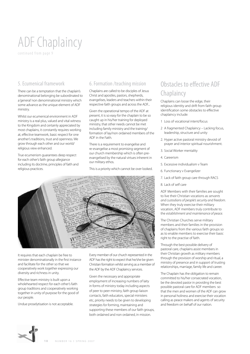# ADF Chaplaincy

continued from page 9

### 5. Ecumenical framework

There can be a temptation that the chaplain's denominational belonging be subordinated to a 'general' non denominational ministry which some advance as the unique element of ADF ministry.

Whilst our ecumenical environment in ADF ministry is a real plus, valued and vital witness to the Kingdom and certainly appreciated by most chaplains, it constantly requires working at, effective teamwork, basic respect for one another's traditions, trust and openness. We grow through each other and our world/ religious view enhanced.

True ecumenism guarantees deep respect for each other's faith group allegiance including its doctrine, principles of faith and religious practices.

#### 6. Formation /teaching mission

Chaplains are called to be disciples of Jesus Christ and apostles, pastors, shepherds, evangelises, leaders and teachers within their respective faith groups and across the ADF...

Given the operational tempo of the ADF at present, it is so easy for the chaplain to be so caught up in his/her training for deployed ministry, that other needs cannot be met including family ministry and the training/ formation of lay/non ordained members of the ADF in the Faith.

There is a requirement to evangelise and re-evangelise a most promising segment of our church membership which is often preevangelised by the natural virtues inherent in our military ethos.

This is a priority which cannot be over looked.



It requires that each chaplain be free to minister denominationally in the first instance and facilitate for the other so that we cooperatively work together expressing our diversity and richness in unity.

Effective team ministry is built upon a wholehearted respect for each other's faith group traditions and cooperatively working together in unity of purpose for the good of our people.

Undue proselytisation is not acceptable.

Every member of our church represented in the ADF has the right to expect that he/she be given Christian formation whilst serving as a member of the ADF by the ADF Chaplaincy services.

Given the necessary and appropriate employment of increasing numbers of laity in forms of ministry today including aspects of peer to peer ministry, faith group liaison contacts, faith educators, special ministers etc, priority needs to be given to developing strategies for forming, maintaining and supporting these members of our faith groups, both ordained and non ordained, in mission.

# Obstacles to effective ADF **Chaplaincy**

Chaplains can loose the edge, their religious identity and drift from faith group identification some obstacles to effective chaplaincy include:

- 1 Loss of vocational intent/focus
- 2 A fragmented Chaplaincy Lacking focus, leadership, structure and unity
- 2. Hyper active pastoral ministry devoid of prayer and interior spiritual nourishment.
- 3. Social Worker mentality
- 4. Careerism
- 5. Excessive individualism v Team
- 6. Functionary v Evangelizer
- 7. Lack of faith group care through RACS
- 8. Lack of self care

ADF Members with their families are sought to live their Christian vocations as *servants and custodians of people's security and freedom.*  When they truly exercise their military vocation, ADF members truly contribute to the *establishment and maintenance of peace.* 

The Christian Churches serve military members and their families in the provision of chaplains from the various faith groups so as to enable members to exercise their basic right to the practise of faith.

Through the best possible delivery of pastoral care, chaplains assist members in their Christian growth as military members through the provision of worship and ritual, a ministry of presence and in support of trusting relationships, marriage, family life and career.

The Chaplain has the obligation to remain committed to his/her consecrated vocation, be the devoted pastor in providing the best possible pastoral care for ADF members so that the men and women of the ADF can grow in personal holiness and exercise their vocation calling as peace makers and agents of security and freedom on behalf of our nation.

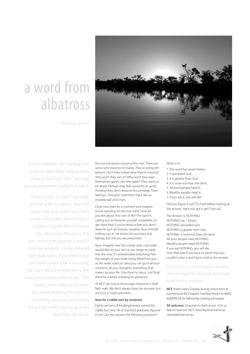# a word from albatross



by Naomi Spencer

In this meditation I am quoting from Scripture Union Bible reading notes, Closer to God, from 2005. I do hope you can experience a refreshing with it.

'There's a river. It's wide, clear, deep and full of life. Its water is fresh and crystal clear and, unlike most rivers or seas, clear water doesn't mean it is barren. It carries life and it gives life. Life courses through it. This river moves with purpose. It doesn't meander aimlessly, it surges forward with expectancy. If you didn't know any better, you'd think it was joyful, the way it ebbs and flows along. The creatures it sustains certainly are – fish leaping, otters playing and there are people enjoying this river too. Swimming, plunging, just floating along in its current, gazing up at the deep blue sky above.

But not everyone's enjoying this river. There are some who stand on its banks. They're being left behind. Don't they realise what they're missing? Why won't they join in? Why won't they ease themselves gently into the water? They seem to be afraid. Perhaps they feel unworthy or guilty, thinking they don't deserve this privilege. Their feelings / thoughts hold them back like an invisible ball and chain.

Close your eyes for a moment and imagine you're standing on the river bank. How do you feel about this river of life? The Spirit is calling you to immerse yourself completely, to get drenched. If you're afraid or feel you don't deserve such an honour, visualise Jesus himself inviting you in. He knows all your fears and failings, but still you are welcomed.

Now, imagine how the crystal clear, cool water would feel on your skin as you begin to wade into the river. It's unbelievably refreshing! Feel the weight of your body being lifted from you as the water starts to carry you. Let go of all your concerns, all your thoughts, everything that makes up your life. Give them to Jesus. Just 'float' there for a while, enjoying his presence.'

At MCF we love to encourage everyone in their faith walk. We don't always have the answers, but we trust in God's provision.

#### Now for a riddle sent by someone

Eighty percent of Kindergarteners solved this riddle, but only 5% of Stanford graduates figured it out! Can you answer the following question?

#### What is it?

- 1. The word has seven letters...
- 2. It preceded God...
- 3. It is greater than God...
- 4. It is more evil than the devil...
- 5. All poor people have it...
- 6. Wealthy people need it...
- 7. If you eat it, you will die!

Did you figure it out? Try hard before looking at the answer. Have you got it yet? Give up?

The Answer is: NOTHING! NOTHING has 7 letters. NOTHING preceded God. NOTHING is greater than God. NOTHING is more evil than the devil. All poor people have NOTHING. Wealthy people need NOTHING. If you eat NOTHING, you will die. Don't feel bad if you have to admit that you couldn't solve it and had to look at the answer.

Each of us is a vital thread in another person's tapestry; our lives are woven together for a reason.

MCF meets every Tuesday during school term at lunchtime at the Chapel's Overflow Room at HMAS ALBATROSS for fellowship, sharing and prayer.

All welcome. Enquiries to Kath at ext 1535 or Naomi Spencer, MCF Area Representative at naomi@shoal.net.au

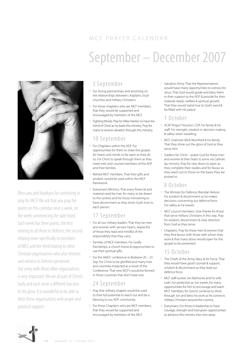# MCF PRAYER CALENDAR September – December 2007



Bless you and thankyou for continuing to pray for MCF! We ask that you pray the points on this calendar once a week, on the week commencing the date listed. Each week has three points, the first relating to all those in Defence, the second relating more specifically to members of MCF, and the third relating to other Christian organisations who also minister and witness to Defence personnel. Our unity with these other organisations is very important. We are all part of Christ's body and each serve a different function to His glory. It is wonderful to be able to bless these organisations with prayer and practical support.

## 3 September

- › For strong partnerships and anointing on the relationships between chaplains, local churches and military Christians.
- › For those chaplains who are MCF members, that they would be supported and encouraged by members of the MCF.
- › Fighting Words. Pray for Mike Hanlon to have the mind of Christ as he leads this ministry. Pray for many to receive salvation through this ministry.

## 10 September

- › For Chaplains within the ADF. For opportunities for them to share the gospel, for hearts and minds to be open as they do so. For Christ to speak through them as they meet with and counsel members of the ADF and their families.
- Retired MCF members. That their gifts and wisdom would be used within the MCF framework.
- › Everyman's Ministry. That every financial and material need be met, for many to be drawn to the centres and for those ministering to have discernment as they show God's love to each person.

## 17 September

- › For all our military leaders. That they be men and women with servant hearts, respectful of those they lead and mindful of the responsibility that they carry.
- › Families of MCF members. For Godly friendships, a church home & opportunities to use their spiritual gifts.
- › For the AMCF conference in Brisbane 20 23 Sep. For Christ to be glorified and many lives and countries impacted as a result of the Conference. That new MCF's would be formed in those countries that don't have one.

## 24 September

- › Pray that military chapels would be used to their full potential to reach out and be a blessing to our ADF community.
- › For those Chaplains who are MCF members, that they would be supported and encouraged by members of the MCF.

› Salvation Army. That the Representatives would have many opportunities to witness for Jesus. That God would guide and bless them in their support to the ADF & provide for their material needs, welfare & spiritual growth. That they would stand true to God's word & be filled with His peace.

## 1 October

- › ACM "Angus" Houston, CDF, his family & his staff. For strength, wisdom in decision making & safety when travelling.
- › MCF chairman Mick Mumford & his family. That they shine out the glory of God as they serve Him.
- › Soldiers for Christ praise God for these men and women & their heart to serve via Catholic lay ministry. Pray for new doors to open as they complete their studies and for favour as they reach out to those on the bases they are posted to.

### 8 October

- › The Minister for Defence, Brendan Nelson. For wisdom & discernment as he makes decisions concerning our defence force. For safety as he travels.
- › MCF council members. Give thanks for those that serve military Christians in this way. Pray for wisdom, discernment & clear direction from God as they serve.
- › Chaplains. Pray for these men & women that they find favour with those with whom they work & that many doors would open for the gospel to be presented.

### 15 October

- › The Chiefs of the Army, Navy & Air Force. That they would have good counsel & support, wisdom & discernment as they lead our defence force.
- › MCF staff worker Jon Belmonte and his wife Leah. For protection as Jon travels, for many opportunities for him to encourage and reach MCF members, for God to continue to shine through Jon and bless his work as he connects military Christians around the country.
- › Everymans. For those in leadership to have courage, strength and God given opportunities to advance this ministry into new areas.

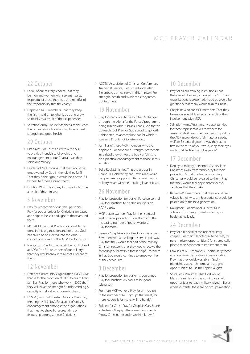## MCF PRAYER CALENDAR

### 22 October

- › For all of our military leaders. That they be men and women with servant hearts, respectful of those they lead and mindful of the responsibility that they carry.
- › Deployed MCF members. That they keep the faith, hold on to what is true and grow spiritually as a result of their experiences.
- › Salvation Army. For Mel Stephens as she leads this organization. For wisdom, discernment, strength and good health.

#### 29 October

- › Chaplains. For Christians within the ADF to provide friendship, fellowship and encouragement to our Chaplains as they serve our military.
- › Leaders of MCF groups. That they would be empowered by God in the role they fulfil. That they & their group would be a powerful witness to others around them.
- › Fighting Words. For many to come to Jesus as a result of this ministry.

#### 5 November

- › Pray for protection of our Navy personnel. Pray for opportunities for Christians on bases and ships to be salt and light to those around them.
- › MCF AGM (14 Nov). Pray for God's will to be done in this organization and for those God has called to be elected into the various council positions. For the AGM to glorify God.
- Navigators. Pray for the cadets being discipled at ADFA (the future leaders of our military) that they would grow into all that God has for them.

### 12 November

- › Defence Community Organization (DCO) Give thanks for the provision of DCO to our military families. Pray for those who work in DCO that they will have the strength & understanding & capacity to help all who come to them.
- › FCMM (Forum of Christian Military Ministries) meeting (14/15 Nov). For a spirit of unity & encouragement amongst the organisations that meet to share. For a great time of fellowship amongst these Christians.

› ACCTS (Association of Christian Conferences, Training & Service). For Russell and Helen Bielenberg as they serve in this ministry. For strength, health and wisdom as they reach out to others.

#### 19 November

- › Pray for many lives to be touched & changed through the "Alpha for the Forces" programme being run on various bases. Thank God for this outreach tool. Pray for God's word to go forth unhindered, to accomplish that for which it was sent & for it not to return void.
- › Families of those MCF members who are deployed. For continued strength, protection & spiritual growth. For the body of Christ to be a practical encouragement to those in this situation.
- › Solid Rock Ministries. That the groups in Canberra, Holsworthy and Townsville would be given many opportunities to reach out to military wives with the unfailing love of Jesus.

#### 26 November

- › Pray for protection for our Air Force personnel. Pray for Christians to be shining lights on RAAF bases.
- › MCF prayer warriors. Pray for their spiritual and physical protection. Give thanks for the increasing number of prayer warriors. Pray for more!
- › Reserve Chaplains. Give thanks for these men & women who are willing to serve in this way. Pray that they would feel part of the military Christian network, that they would receive the friendship & fellowship that is helpful for them & that God would continue to empower them as they serve Him.

## 3 December

- › Pray for protection for our Army personnel. Pray for Christians on bases to be good witnesses.
- › For more MCF workers. Pray for an increase in the number of MCF groups that meet, for more leaders & for more "willing hands".
- › Soldiers for Christ. Pray for Chaplain Gary Stone as he trains & equips these men & women to "know Christ better and make him known".

## 10 December

- › Pray for all our training institutions. That there would be unity amongst the Christian organisations represented, that God would be glorified & that many would turn to Christ.
- › Chaplains who are MCF members. That they be encouraged & blessed as a result of their involvement with MCF.
- › Salvation Army. "Grant many opportunities for these representatives to witness for Jesus. Guide & bless them in their support to the ADF & provide for their material needs, welfare & spiritual growth. May they stand firm in the truth of your word, keep their eyes on Jesus & be filled with His peace."

## 17 December

- › Deployed military personnel. As they face Christmas away from family pray for their protection & that the truth concerning Christmas would be revealed to them. Pray that they would feel appreciated for the sacrifices that they make.
- › Retired MCF members. That they would feel valued & their wisdom & experience would be passed on to the next generation.
- › Navigators. For National Director Mike Johnson, for strength, wisdom and good health as he leads.

## 24 December

- › Pray for a renewal of the use of military chapels. For their full potential to be met, for new ministry opportunities & for strategically placed men & women to implement them.
- › Families of MCF members particularly those who are currently posting to new locations. Pray that they quickly establish Godly friendships, a church home and are given opportunities to use their spiritual gifts.
- › Solid Rock Ministries. That God would bless this ministry in the coming year with opportunities to reach military wives in Bases where currently there are no groups meeting.

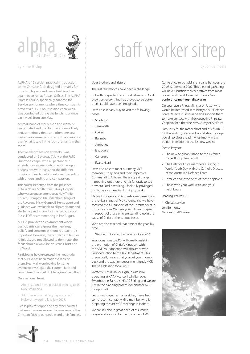

#### by Steve Hislop

ALPHA, a 15 session practical introduction to the Christian faith designed primarily for nonchurchgoers and new Christians, has again, been run at Russell Offices. The ALPHA Express course, specifically adapted for Service environments where time constraints prevent a full 2-3 hour session each week, was conducted during the lunch hour once each week from late May.

A "small band of merry men and women" participated and the discussions were lively and, sometimes, deep and often personal. Participants were comforted in the assurance that "what is said in the room, remains in the room".

The "weekend" session at week 6 was conducted on Saturday 7 July at the RMC Duntroon chapel with all personnel in attendance - a great outcome. Once again discussions were lively and the different opinions of each participant was listened to with understanding and compassion.

This course benefited from the presence of Miss Ngaira Smith from Calvary Hospital who was a regular attendee at Holy Trinity Church, Brompton UK under the tutilege of the Reverend Nicky Gumbell. Her support and guidance was invaluable to all participants and she has agreed to conduct the next course at Russell Offices commencing in late August.

ALPHA provides an environment where participants can express their feelings, beliefs and concerns without reproach. It is important, however, that conflicts of faith or religiosity are not allowed to dominate; the focus should always be on Jesus Christ and his Word.

Participants have expressed their gratitude that ALPHA has been made available to them. Nearly all were looking for some avenue to investigate their current faith and commitments and ALPHA has given them that.

On a national front:

- • Alpha National have provided training to 15 RAAF chaplains.
- • A further Alpha training day occurred in Holsworthy during late July 2007.

Please pray for Alpha and any other courses that seek to make known the relevance of the Christian faith to our people and their families.

# staff worker sitrep

by Jon Belmonte

#### Dear Brothers and Sisters.

The last few months have been a challenge.

But with prayer, faith and total reliance on God's provision, every thing has proved to be better then I could have been imagined.

I was able in early May to visit the following bases.

- Singleton
- • Tamworth
- Oakey
- • Bulimba
- **Amberley**
- • Enoggera
- • Canungra
- • Evans Head

I was also able to meet our many MCF members, Chaplains and their respective Commanding Officers. There a great things happening out there; and it is fantastic to see how our Lord is working. I feel truly privileged just to be a witness to His mighty works.

Oakey, Enoggera and Amberley are presently in the revival stages of MCF groups, and we have received the full support of the Commanders in those locations. We seek your diligent prayers in support of those who are standing up in the cause of Christ at the various bases.

We have also reached that time of the year, Tax time.

"Render to Caesar; that which is Caesar's."

Your donations to MCF will greatly assist in the promotion of Christ's Kingdom within the ADF. Your donation will also assist with your deduction to the Tax Department. This theoretically means that you get your money back and the taxation department funds MCF. That is a blessing for all of us.

Western Australian MCF groups are now operating at RAAF Pearce, Irwin Barracks, Swanbourne Barracks, HMAS Stirling and we are just in the planning process for another MCF group in WA.

Let us not forget Tasmania either, I have had some recent contact with a member who is preparing to start MCF meetings in Hobart.

We are still also in great need of assistance, prayer and support for the upcoming AMCF Conference to be held in Brisbane between the 20-23 September 2007. This blessed gathering will have Christian representatives from most of our Pacific and Asian neighbours. See:

conference.mcf-australia.org.au

Do you have a Priest, Minister or Pastor who would be interested in ministry to our Defence Force Reserves? Encourage and support them to make contact with the respective Principal Chaplain for either the Navy, Army or Air Force.

I am sorry for the rather short and brief SITREP for this edition; however I would strongly urge you all; to please read my testimony in this edition in relation to the last few weeks.

Please Pray for:

- • The new Anglican Bishop to the Defence Force, Bishop Len Eacott.
- • The Defence Force members assisting in World Youth Day, with the Catholic Diocese of the Australian Defence Force
- • Families and loved ones of those deployed
- Those who your work with, and your neighbours

Reading: Psalm 121

In Christ's service Jon Belmonte National Staff Worker



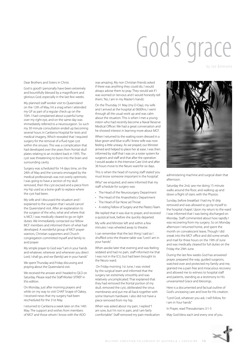# God's grace

by Jon Belmonte

Dear Brothers and Sisters in Christ.

God is good! I personally have been extremely and bountifully blessed by a magnificent and glorious God, especially in the last few weeks.

My planned staff worker visit to Queensland on the 12th of May, hit a snag when I attended my GP as part of a regular check up on the 10th. I had complained about a painful lump over my right eye, and on the same day was immediately referred to a neurosurgeon. So such my 30 minute consultation ended up becoming several hours in Canberra Hospital for tests and medical imagery. Which revealed that I required surgery for the removal of a fluid type cyst within the sinuses. This was a complication that had developed over the years from frontal skull plates relating to an incident back in 1995. The cyst was threatening to burst into the brain and surrounding cavity.

Surgery was scheduled for 14 days time, on the 24th of May and the scenario envisaged by the medical professionals was not overly optimistic. I was going to have a section of my skull removed, then the cyst excised and a piece from my hip used as a bone graft to replace where the cyst had been.

My wife and I discussed the situation and I explained to the surgeon that I would cancel the Queensland visit. After an explanation to the surgeon of the who, what and where that is MCF, I was medically cleared to go on light duties. We immediately contacted our fellow MCF members and informed them of what had developed. A wonderful group of MCF prayer warriors, Christian supporters and Church congregation committed myself and family to avid prayer.

My simple prayer to God was "I am in your hands and whatever, wherever and whenever you direct Lord, I shall go, and we (family) are in your hands"

We spent Thursday and Friday discussing and praying about the Queensland visit.

We received the answer and I headed to QLD on Saturday. Please read the Staff Worker SITREP in this edition.

On Monday, just after morning prayers and while on my way to visit CHAP Snape of Oakey, I received news that my surgery had been rescheduled for the 31st May.

I returned to Canberra a week later on the 14th May. The support and wishes from members of MCF and those whom I know with the ADO

was amazing. My non Christian friends asked if there was anything they could do, I would always advise them to pray. They would ask if I was worried or nervous and I would honestly tell them, 'No, I am in my Master's hands'.

On the Thursday 31 May (my D-Day), my wife and I arrived at the hospital at 0600hrs; I went through all the usual work up and was calm about the situation. This is when I met a young intern who had recently become a Naval Reserve Medical Officer. We had a great conversation and he showed interest in learning more about MCF.

When I returned to the waiting room dressed in a blue gown and blue scuffs I knew wife was now feeling a little uneasy. As we prayed, our Minister arrived and helped to place her at ease. I was then informed by staff that I was on a roster system for surgeons and staff and that after the operation I would awake in the Intensive Care Unit and after 36 hours move to the Neuro ward for six days.

This is when the head of nursing staff stated 'you must know someone important in the hospital'.

Why? we enquired, and were informed that my staff schedule for surgery was:

- • The Head of the Neurosurgery Department
- • The Head of the Anaesthetics Department
- The Head of Ear Nose ad Throat
- A visiting Fellow of Surgery and the Plastics Team.

We replied that it was due to prayer, and received a quizzical look, before she quickly departed.

My wife and Minister left and within a few minutes I was wheeled away to theatre.

I can remember that the last thing I said as I shuffled onto the theatre table was "Lord I am in your hands".

When awoke later that evening and was feeling sedated and had no pain, staff informed me that I was not in the ICU, but had been brought to the Neuro ward.

 On Friday morning 1st June, I was visited by the surgical team and informed that the surgery ran extremely smoothly and was relatively uncomplicated. That explained that they had removed the frontal portion of my skull, removed the cyst, obliterated the sinus membranes and put me all back together with some titanium hardware. I also did not have a piece removed from my hip.

When was asked about my pain, I replied "I am sore, but I'm not in pain, and I am fairly comfortable". Staff removed my pain medication



administering machine and surgical drain that afternoon.

Saturday the 2nd, saw me doing 15 minute walks around the floor, and walking up and down a flight of stairs with the Physios.

Sunday, before breakfast I had my IV drip removed and was allowed to go by myself to the hospital chapel. Upon my return to the ward I was informed that I was being discharged on Monday. Staff commented about how rapidly I was recovering from my surgery. So on Monday afternoon I returned home, and spent the month on convalescent leave, Though I did sneak into the MCF office and did some emails and mail for three hours on the 19th of June and was medically cleared for full duties on the Friday the 29th June.

During the last few weeks God has answered prayer, prepared the way, guided surgeons, watched over and protected my family and me, granted me a pain free and miraculous recovery and allowed me to witness to hospital staff and patients, standing as a testimony to His unwarranted Grace and blessings.

Here is a documented and factual outline of God's unceasing care and love for His creation.

"Lord God, whatever you ask, I will follow, for I am in Your hands"

In Prayer, read Thessalonians 3:1-5

May God bless each and every one of you.

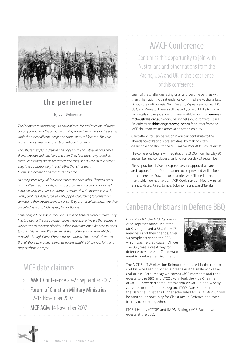

# **the perimeter**

#### by Jon Belmonte

*The Perimeter, in the Infantry, is a circle of men. It is half a section, platoon or company. One half is on guard, staying vigilant, watching for the enemy,*  while the other half rests, sleeps and carries on with life as it is. They are *more than just men; they are a brotherhood in uniform.*

*They share their plans, dreams and hopes with each other. In hard times, they share their sadness, fears and pain. They face the enemy together, some like brothers, others like fathers and sons, and always as true friends. They find a commonality in each other that binds them to one another in a bond that lasts a lifetime.*

*As time passes, they will leave the service and each other. They will travel many different paths of life, some to prosper well and others not so well. Somewhere in life's travels, some of these men find themselves lost in the world, confused, dazed, scared, unhappy and searching for something; something they are not even sure exists. They are not soldiers anymore; they are called Veterans, Old Diggers, Mates, Buddies.*

*Somehow, in their search, they once again find others like themselves. They find brothers of the past, brothers from the Perimeter. We are that Perimeter, we are seen as the circle of safety in their searching times. We need to stand tall and defend them, We need to tell them of the saving grace which is available through Christ. Christ is the one who laid His own life down, so that all those who accept Him may have eternal life. Share your faith and support them in prayer.*

# MCF date claimers

- › AMCF Conference 20-23 September 2007
- › Forum of Christian Military Ministries 12-14 November 2007
- MCF AGM 14 November 2007

# AMCF Conference

Don't miss this opportunity to join with Australians and other nations from the Pacific, USA and UK in the experience of this conference.

Learn of the challenges facing us all and become partners with them. The nations with attendance confirmed are Australia, East Timor, Korea, Micronesia, New Zealand, Papua New Guinea, UK, USA, and Vanuatu. There is still space if you would like to come. Full details and registration form are available from **conferences.** mcf-australia.org.au Serving personnel should contact Russell Bielenberg on rhbielen@actewagl.net.au for a letter from the MCF chairman seeking approval to attend on duty.

Can't attend for service reasons? You can contribute to the attendance of Pacific representatives by making a taxdeductible donation to the MCF marked "for AMCF conference".

The conference begins with registration at 3.00pm on Thursday 20 September and concludes after lunch on Sunday 23 September.

Please pray for all visas, passports, service approval, air fares and support for the Pacific nations to be provided well before the conference. Pray, too for countries we still need to hear from, which do not have an MCF: Cook Islands, Kiribati, Marshall Islands, Nauru, Palau, Samoa, Solomon Islands, and Tuvalu.

# Canberra Christians in Defence BBQ

On 2 May 07, the MCF Canberra Area Representative, Mr Peter McKay organised a BBQ for MCF members and their friends. Over 50 people attended the BBQ which was held at Russell Offices. The BBQ was a great way for defence personnel in Canberra to meet in a relaxed environment.



The MCF Staff Worker, Jon Belmonte (pictured in the photo) and his wife Leah provided a great sausage sizzle with salad and drinks. Peter McKay welcomed MCF members and their guests to the BBQ and LTCOL Van Heel, the vice Chairman of MCF-A provided some information on MCF-A and weekly activities in the Canberra region. LTCOL Van Heel mentioned the Defence Christians Dinner scheduled for Fri 31 Aug 07 will be another opportunity for Christians in Defence and their friends to meet together.

LTGEN Hurley (CCDE) and RADM Ruting (MCF Patron) were guests at the BBQ.

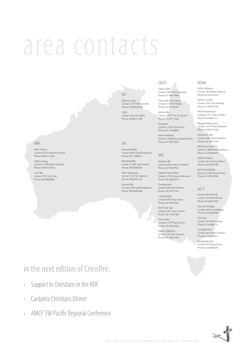# area contacts

#### WA

RAAF Pearce Contact: FLTLT Nathan Runham Phone: 08-95717844

HMAS Stirling Contact: CHAP Barrie Yesberg Phone: 08-95532456

Irwin Bks Contact: PTE Nick Filter Phone: 08 93836369

NT

Robertson Bks Contact: CAPT Morgan Batt Phone: 08-89353056 1AVN

Contact: MAJ Tim Baker Phone: 08 8925 1300

#### $\subset \Delta$

Hampstead Bks Contact: MAJ Geoff Robertson Phone: 0417-880657

Woodside Bks Contact: CHAP Lyall Cowell Phone: 08-83890344

RAAF Edinburgh Contact: LEUT Ian Spencer Phone: 08-82592129

Keswick Bks Contact: MAJ Geoff Robertson Phone: 08-83056188

#### QLD

Oakey 1AVN Contact: MAJ Chris Kassulke Phone: 07-46917806

Townsville, Ross Island Contact: CHAP RJ Bailey Phone: 07-47536245

> Jezzine Bks Contact: CAPT Tim St Quintin Phone: 07-47711026

Enoggera Contact: CHAP Gary Stone Phone: 07-33326645

RAAF Amberley Contact: SQNLDR Jacqueline Miers Phone: 07-54611820

#### VIC

Simpson Bks Contact: MAJ Patrick O'Hanlon Phone: 03-94507931

Defence Plaza MELB Contact: LTCOL Brewis Atkinson Phone: 03-92827673

Puckapunyal Contact: Mr Keith Thomas Phone: 03-57357144

Latchford Bks Contact: WO2 Fay Garvie Phone: 02-60554562

RAAF East Sale Contact: Mr. Stuart Lawson Phone: 03-51467008

Victoria Bks Contact: CAPT Elias Carney Phone: 03 92825465

HMAS CERBERUS Contact: Mr Glen Forecast Phone: 03 5950 7503

#### NSW HMAS Albatross

Contact: Ms Naomi Spencer Phone: 02-44231018

HMAS Creswell Contact: WO Gary Bromley Phone: 02-44297166

RAAF Williamtown Contact: FLTLT Luke Janicke Phone: 02-49645377

Wagga Military Area Contact: FLTLT Pete Boreham Phone: 02-69375708

Holsworthy Bks Contact: MAJ David Williams Phone: 02- 87821335

MHQ Potts Point Contact: CMDR Michael Brown Phone: 02-99594619

HMAS Kuttabul Contact: Ms. Felicity Jenkins Phone: 02-93593198

RAAF RICHMOND Contact: CHAP Russell Avery Phone: 02 45872546

#### ACT

Russell Hill (ADFHQ) Contact: Mr Peter McKay Phone: 02-62657308

Aust Def College Contact: MAJ Lesa Wegner Phone: 02-62660388

Fyshwick Contact: Mr Peter Gossip Phone: 02-62660732

Campbell Park Contact: Mr David Coleman Phone: 02-62663367

Brindabella Park Contact: Mr Doug Oliver Phone: 02-62668193

# in the next edition of Crossfire:

- › Support to Christians in the ADF
- › Canberra Christians Dinner
- › AMCF SW Pacific Regional Conference